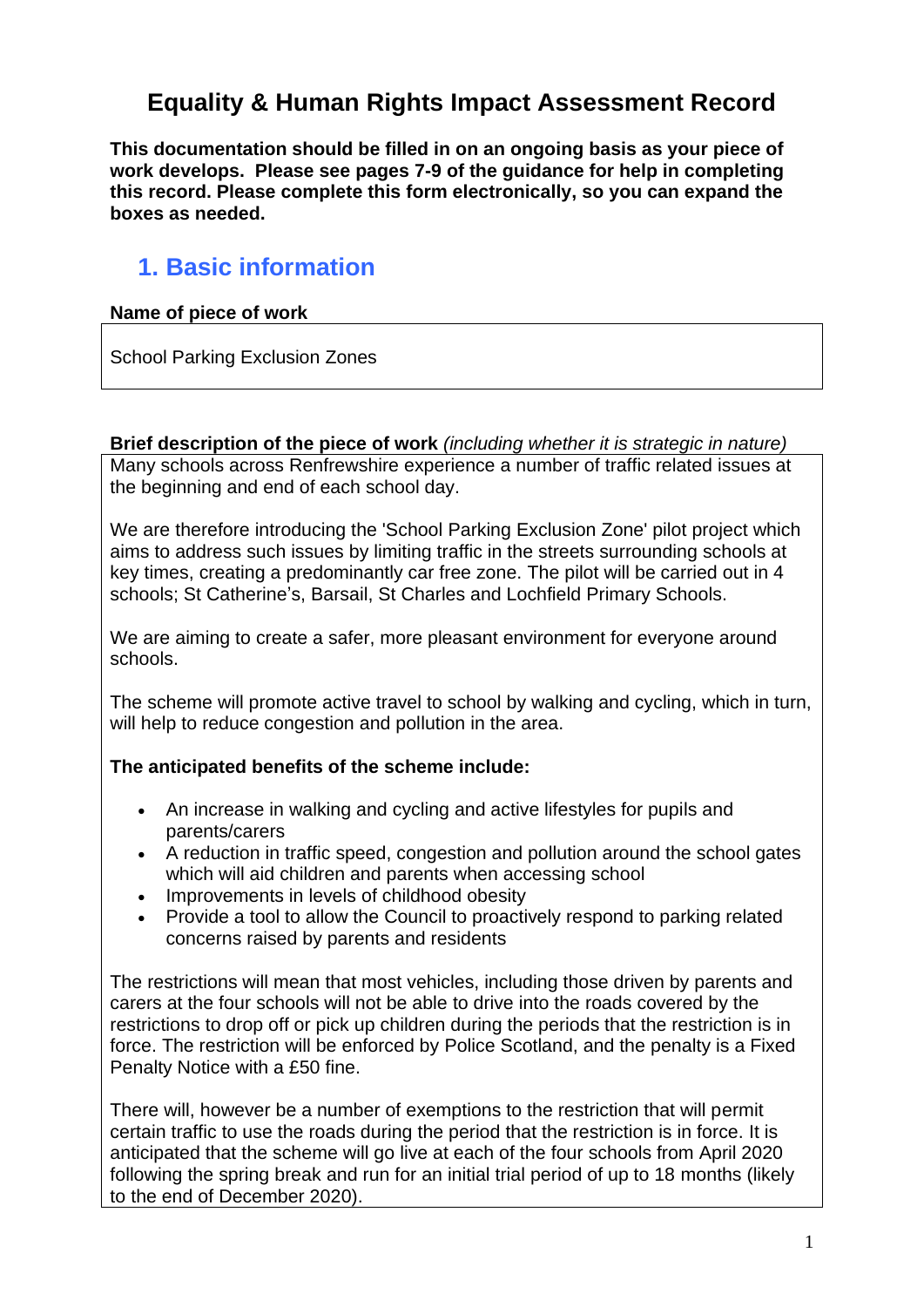# **Equality & Human Rights Impact Assessment Record**

**This documentation should be filled in on an ongoing basis as your piece of work develops. Please see pages 7-9 of the guidance for help in completing this record. Please complete this form electronically, so you can expand the boxes as needed.**

# **1. Basic information**

#### **Name of piece of work**

School Parking Exclusion Zones

**Brief description of the piece of work** *(including whether it is strategic in nature)*  Many schools across Renfrewshire experience a number of traffic related issues at the beginning and end of each school day.

We are therefore introducing the 'School Parking Exclusion Zone' pilot project which aims to address such issues by limiting traffic in the streets surrounding schools at key times, creating a predominantly car free zone. The pilot will be carried out in 4 schools; St Catherine's, Barsail, St Charles and Lochfield Primary Schools.

We are aiming to create a safer, more pleasant environment for everyone around schools.

The scheme will promote active travel to school by walking and cycling, which in turn, will help to reduce congestion and pollution in the area.

#### **The anticipated benefits of the scheme include:**

- An increase in walking and cycling and active lifestyles for pupils and parents/carers
- A reduction in traffic speed, congestion and pollution around the school gates which will aid children and parents when accessing school
- Improvements in levels of childhood obesity
- Provide a tool to allow the Council to proactively respond to parking related concerns raised by parents and residents

The restrictions will mean that most vehicles, including those driven by parents and carers at the four schools will not be able to drive into the roads covered by the restrictions to drop off or pick up children during the periods that the restriction is in force. The restriction will be enforced by Police Scotland, and the penalty is a Fixed Penalty Notice with a £50 fine.

There will, however be a number of exemptions to the restriction that will permit certain traffic to use the roads during the period that the restriction is in force. It is anticipated that the scheme will go live at each of the four schools from April 2020 following the spring break and run for an initial trial period of up to 18 months (likely to the end of December 2020).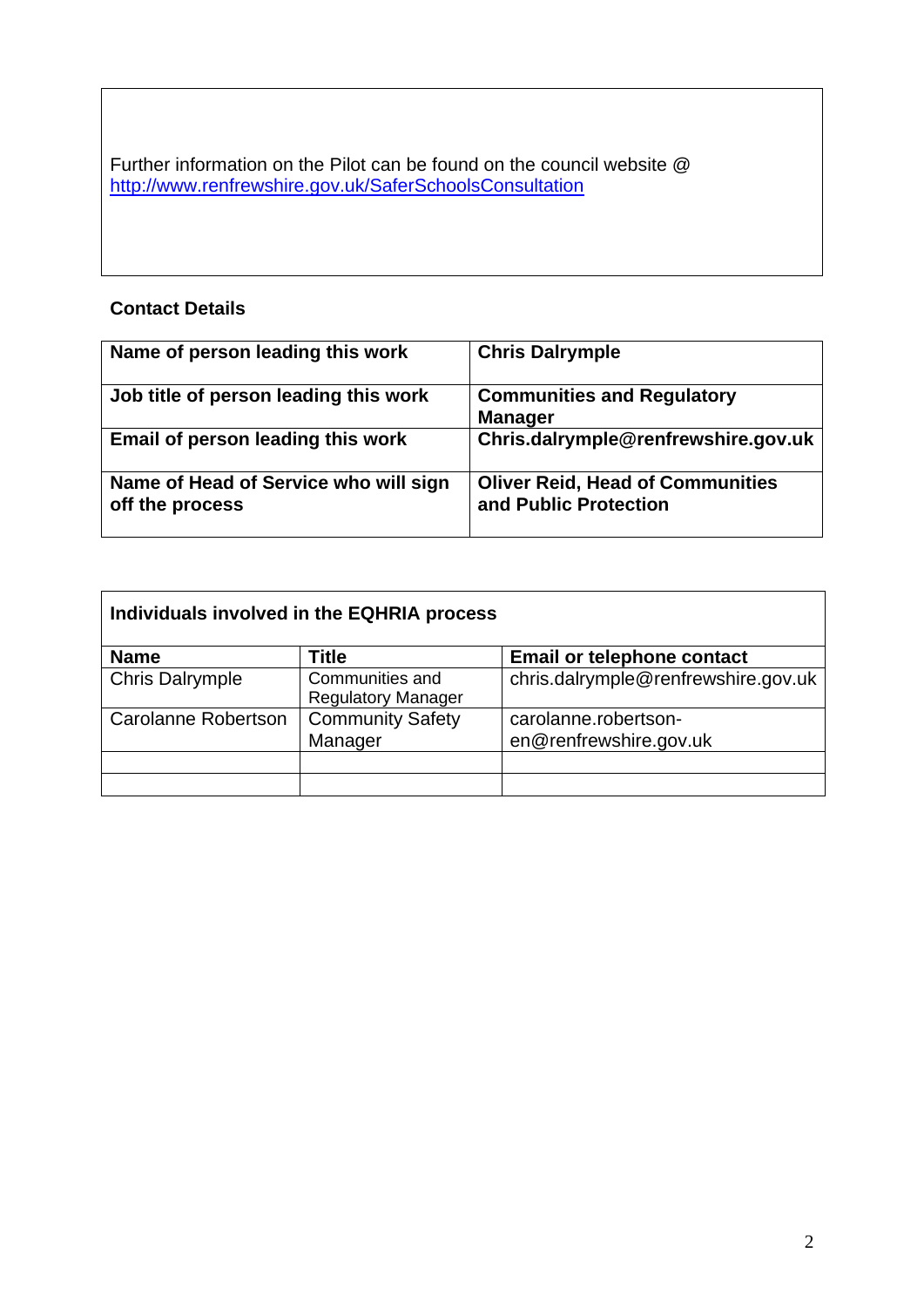Further information on the Pilot can be found on the council website @ <http://www.renfrewshire.gov.uk/SaferSchoolsConsultation>

### **Contact Details**

| Name of person leading this work                         | <b>Chris Dalrymple</b>                                           |
|----------------------------------------------------------|------------------------------------------------------------------|
| Job title of person leading this work                    | <b>Communities and Regulatory</b><br><b>Manager</b>              |
| Email of person leading this work                        | Chris.dalrymple@renfrewshire.gov.uk                              |
| Name of Head of Service who will sign<br>off the process | <b>Oliver Reid, Head of Communities</b><br>and Public Protection |

| Individuals involved in the EQHRIA process |                                              |                                     |
|--------------------------------------------|----------------------------------------------|-------------------------------------|
| <b>Name</b>                                | Title                                        | <b>Email or telephone contact</b>   |
| <b>Chris Dalrymple</b>                     | Communities and<br><b>Regulatory Manager</b> | chris.dalrymple@renfrewshire.gov.uk |
| <b>Carolanne Robertson</b>                 | <b>Community Safety</b>                      | carolanne.robertson-                |
|                                            | Manager                                      | en@renfrewshire.gov.uk              |
|                                            |                                              |                                     |
|                                            |                                              |                                     |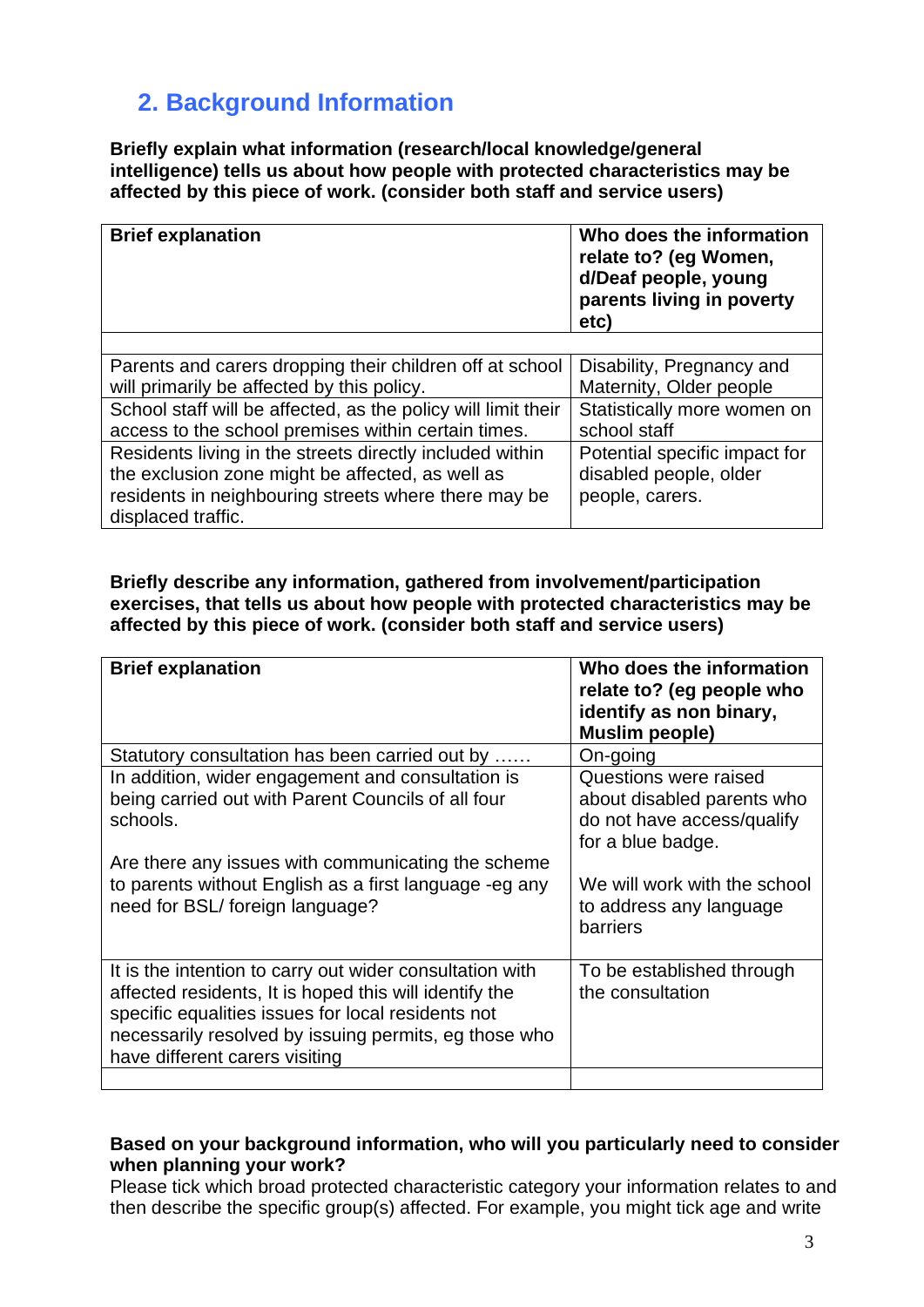# **2. Background Information**

**Briefly explain what information (research/local knowledge/general intelligence) tells us about how people with protected characteristics may be affected by this piece of work. (consider both staff and service users)**

| <b>Brief explanation</b>                                      | Who does the information<br>relate to? (eg Women,<br>d/Deaf people, young<br>parents living in poverty<br>etc) |
|---------------------------------------------------------------|----------------------------------------------------------------------------------------------------------------|
|                                                               |                                                                                                                |
| Parents and carers dropping their children off at school      | Disability, Pregnancy and                                                                                      |
| will primarily be affected by this policy.                    | Maternity, Older people                                                                                        |
| School staff will be affected, as the policy will limit their | Statistically more women on                                                                                    |
| access to the school premises within certain times.           | school staff                                                                                                   |
| Residents living in the streets directly included within      | Potential specific impact for                                                                                  |
| the exclusion zone might be affected, as well as              | disabled people, older                                                                                         |
| residents in neighbouring streets where there may be          | people, carers.                                                                                                |
| displaced traffic.                                            |                                                                                                                |

**Briefly describe any information, gathered from involvement/participation exercises, that tells us about how people with protected characteristics may be affected by this piece of work. (consider both staff and service users)**

| <b>Brief explanation</b>                                                                                                                                                                                                                                            | Who does the information<br>relate to? (eg people who<br>identify as non binary,<br><b>Muslim people)</b> |
|---------------------------------------------------------------------------------------------------------------------------------------------------------------------------------------------------------------------------------------------------------------------|-----------------------------------------------------------------------------------------------------------|
| Statutory consultation has been carried out by                                                                                                                                                                                                                      | On-going                                                                                                  |
| In addition, wider engagement and consultation is<br>being carried out with Parent Councils of all four<br>schools.                                                                                                                                                 | Questions were raised<br>about disabled parents who<br>do not have access/qualify<br>for a blue badge.    |
| Are there any issues with communicating the scheme<br>to parents without English as a first language -eg any<br>need for BSL/foreign language?                                                                                                                      | We will work with the school<br>to address any language<br>barriers                                       |
| It is the intention to carry out wider consultation with<br>affected residents, It is hoped this will identify the<br>specific equalities issues for local residents not<br>necessarily resolved by issuing permits, eg those who<br>have different carers visiting | To be established through<br>the consultation                                                             |
|                                                                                                                                                                                                                                                                     |                                                                                                           |

### **Based on your background information, who will you particularly need to consider when planning your work?**

Please tick which broad protected characteristic category your information relates to and then describe the specific group(s) affected. For example, you might tick age and write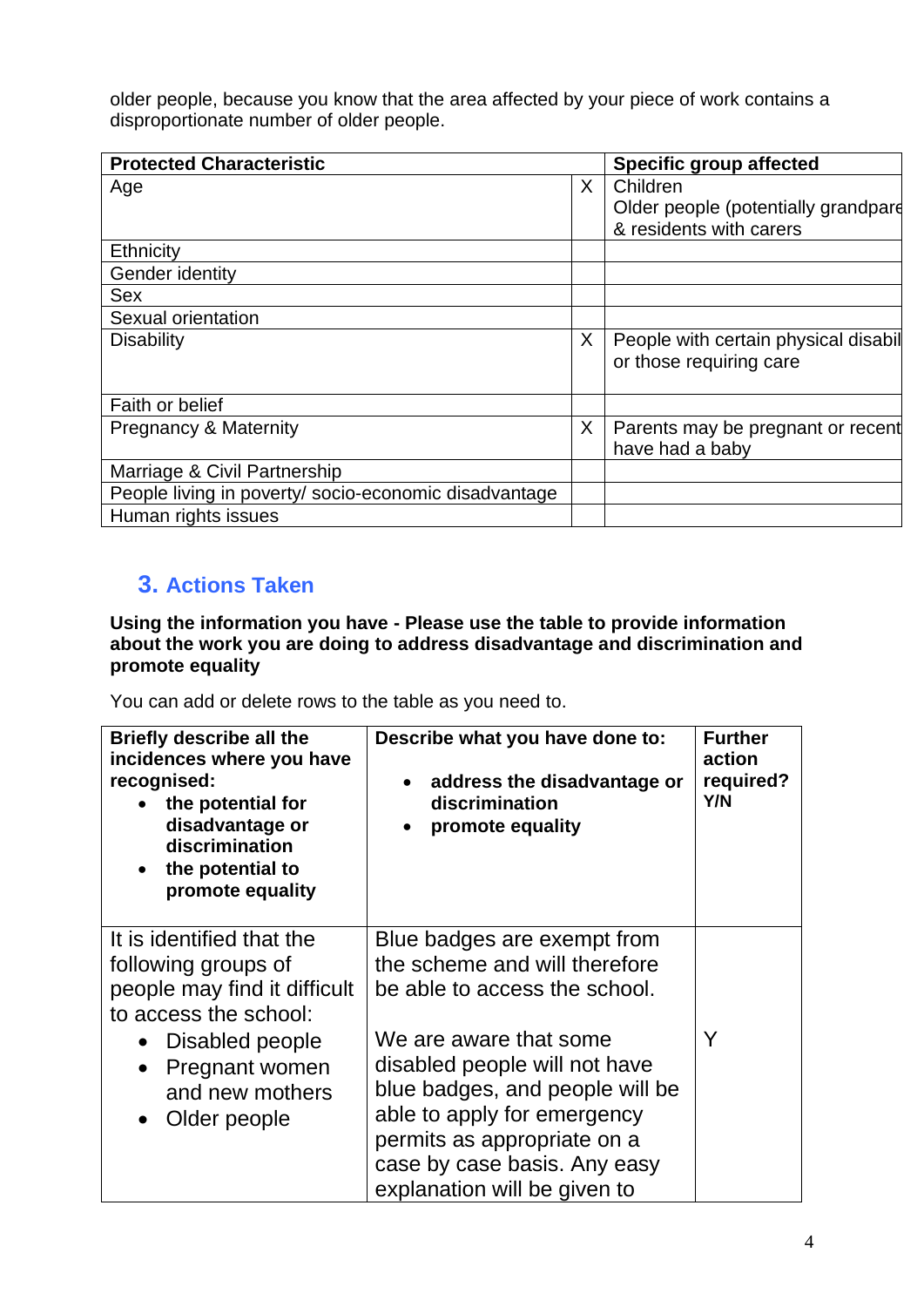older people, because you know that the area affected by your piece of work contains a disproportionate number of older people.

| <b>Protected Characteristic</b>                       |   | <b>Specific group affected</b>       |  |
|-------------------------------------------------------|---|--------------------------------------|--|
| Age                                                   | X | Children                             |  |
|                                                       |   | Older people (potentially grandpare  |  |
|                                                       |   | & residents with carers              |  |
| <b>Ethnicity</b>                                      |   |                                      |  |
| Gender identity                                       |   |                                      |  |
| <b>Sex</b>                                            |   |                                      |  |
| Sexual orientation                                    |   |                                      |  |
| <b>Disability</b>                                     | X | People with certain physical disabil |  |
|                                                       |   | or those requiring care              |  |
|                                                       |   |                                      |  |
| Faith or belief                                       |   |                                      |  |
| <b>Pregnancy &amp; Maternity</b>                      | X | Parents may be pregnant or recent    |  |
|                                                       |   | have had a baby                      |  |
| Marriage & Civil Partnership                          |   |                                      |  |
| People living in poverty/ socio-economic disadvantage |   |                                      |  |
| Human rights issues                                   |   |                                      |  |

### **3. Actions Taken**

#### **Using the information you have - Please use the table to provide information about the work you are doing to address disadvantage and discrimination and promote equality**

You can add or delete rows to the table as you need to.

| <b>Briefly describe all the</b><br>incidences where you have<br>recognised:<br>the potential for<br>disadvantage or<br>discrimination<br>the potential to<br>promote equality | Describe what you have done to:<br>address the disadvantage or<br>$\bullet$<br>discrimination<br>promote equality                                                                                                        | <b>Further</b><br>action<br>required?<br>Y/N |
|-------------------------------------------------------------------------------------------------------------------------------------------------------------------------------|--------------------------------------------------------------------------------------------------------------------------------------------------------------------------------------------------------------------------|----------------------------------------------|
| It is identified that the<br>following groups of<br>people may find it difficult<br>to access the school:                                                                     | Blue badges are exempt from<br>the scheme and will therefore<br>be able to access the school.                                                                                                                            |                                              |
| Disabled people<br>Pregnant women<br>$\bullet$<br>and new mothers<br>Older people                                                                                             | We are aware that some<br>disabled people will not have<br>blue badges, and people will be<br>able to apply for emergency<br>permits as appropriate on a<br>case by case basis. Any easy<br>explanation will be given to |                                              |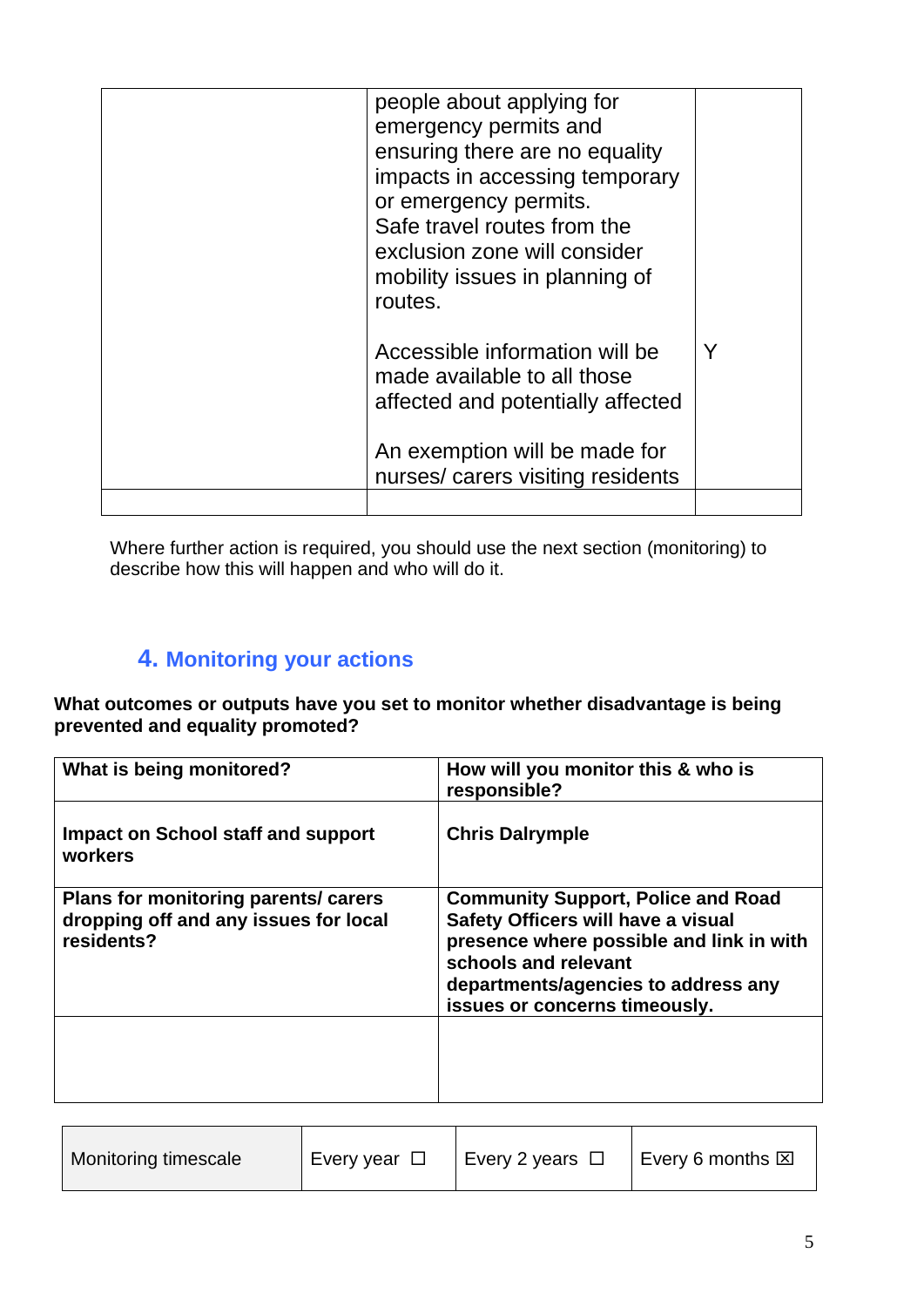| people about applying for<br>emergency permits and<br>ensuring there are no equality<br>impacts in accessing temporary<br>or emergency permits.<br>Safe travel routes from the<br>exclusion zone will consider<br>mobility issues in planning of<br>routes. |  |
|-------------------------------------------------------------------------------------------------------------------------------------------------------------------------------------------------------------------------------------------------------------|--|
| Accessible information will be<br>made available to all those<br>affected and potentially affected<br>An exemption will be made for<br>nurses/carers visiting residents                                                                                     |  |
|                                                                                                                                                                                                                                                             |  |

Where further action is required, you should use the next section (monitoring) to describe how this will happen and who will do it.

# **4. Monitoring your actions**

**What outcomes or outputs have you set to monitor whether disadvantage is being prevented and equality promoted?**

| What is being monitored?                                                                    | How will you monitor this & who is<br>responsible?                                                                                                                                                                          |
|---------------------------------------------------------------------------------------------|-----------------------------------------------------------------------------------------------------------------------------------------------------------------------------------------------------------------------------|
| Impact on School staff and support<br>workers                                               | <b>Chris Dalrymple</b>                                                                                                                                                                                                      |
| Plans for monitoring parents/ carers<br>dropping off and any issues for local<br>residents? | <b>Community Support, Police and Road</b><br>Safety Officers will have a visual<br>presence where possible and link in with<br>schools and relevant<br>departments/agencies to address any<br>issues or concerns timeously. |
|                                                                                             |                                                                                                                                                                                                                             |

| Monitoring timescale | Every year $\Box$ | Every 2 years $\Box$ | Every 6 months $\boxtimes$ |
|----------------------|-------------------|----------------------|----------------------------|
|                      |                   |                      |                            |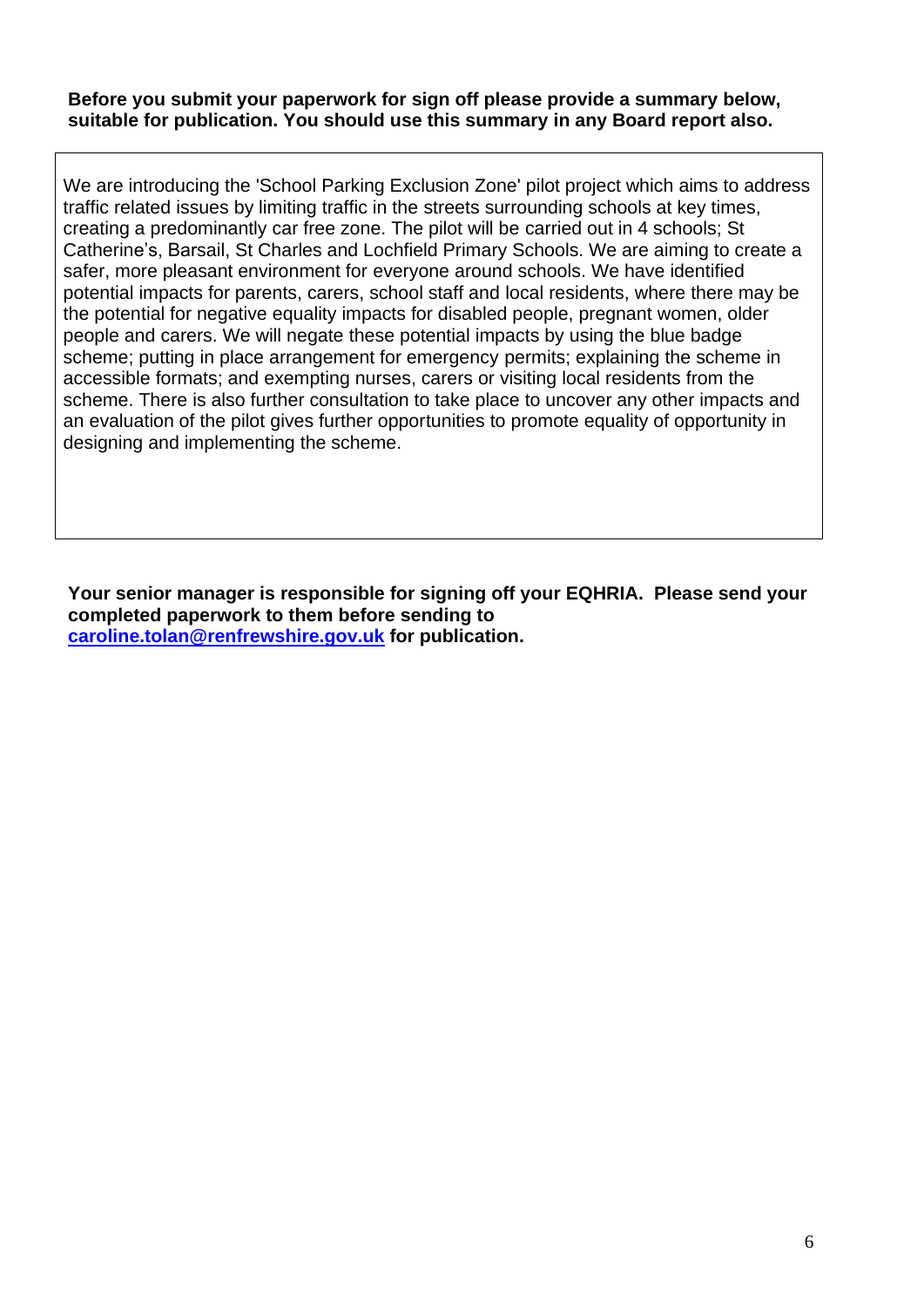#### **Before you submit your paperwork for sign off please provide a summary below, suitable for publication. You should use this summary in any Board report also.**

We are introducing the 'School Parking Exclusion Zone' pilot project which aims to address traffic related issues by limiting traffic in the streets surrounding schools at key times, creating a predominantly car free zone. The pilot will be carried out in 4 schools; St Catherine's, Barsail, St Charles and Lochfield Primary Schools. We are aiming to create a safer, more pleasant environment for everyone around schools. We have identified potential impacts for parents, carers, school staff and local residents, where there may be the potential for negative equality impacts for disabled people, pregnant women, older people and carers. We will negate these potential impacts by using the blue badge scheme; putting in place arrangement for emergency permits; explaining the scheme in accessible formats; and exempting nurses, carers or visiting local residents from the scheme. There is also further consultation to take place to uncover any other impacts and an evaluation of the pilot gives further opportunities to promote equality of opportunity in designing and implementing the scheme.

**Your senior manager is responsible for signing off your EQHRIA. Please send your completed paperwork to them before sending to [caroline.tolan@renfrewshire.gov.uk](mailto:caroline.tolan@renfrewshire.gov.uk) for publication.**